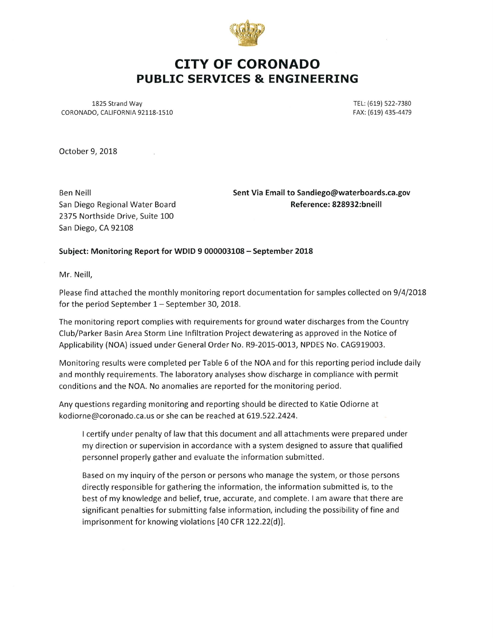

# CITY OF CORONADO PUBLIC SERVICES & ENGINEERING

1825 Strand Way CORONADO, CALIFORNIA 92118-1510 TEL: (619) 522-7380 FAX: (619) 435-4479

October 9, 2018

Ben Neill San Diego Regional Water Board 2375 Northside Drive, Suite 100 San Diego, CA 92108

Sent Via Email to Sandiego@waterboards.ca.gov Reference: 828932:bneill

#### Subject: Monitoring Report for WDID 9 000003108 - September 2018

Mr. Neill,

Please find attached the monthly monitoring report documentation for samples collected on 9/4/2018 for the period September  $1 -$  September 30, 2018.

The monitoring report complies with requirements for ground water discharges from the Country Club/Parker Basin Area Storm Line Infiltration Project dewatering as approved in the Notice of Applicability (NOA) issued under General Order No. R9-2015-0013, NPDES No. CAG919003.

Monitoring results were completed per Table 6 of the NOA and for this reporting period include daily and monthly requirements. The laboratory analyses show discharge in compliance with permit conditions and the NOA. No anomalies are reported for the monitoring period.

Any questions regarding monitoring and reporting should be directed to Katie Odiorne at kodiorne@coronado.ca.us or she can be reached at 619.522.2424.

I certify under penalty of law that this document and all attachments were prepared under my direction or supervision in accordance with a system designed to assure that qualified personnel properly gather and evaluate the information submitted.

Based on my inquiry of the person or persons who manage the system, or those persons directly responsible for gathering the information, the information submitted is, to the best of my knowledge and belief, true, accurate, and complete. I am aware that there are significant penalties for submitting false information, including the possibility of fine and imprisonment for knowing violations [40 CFR 122.22(d)].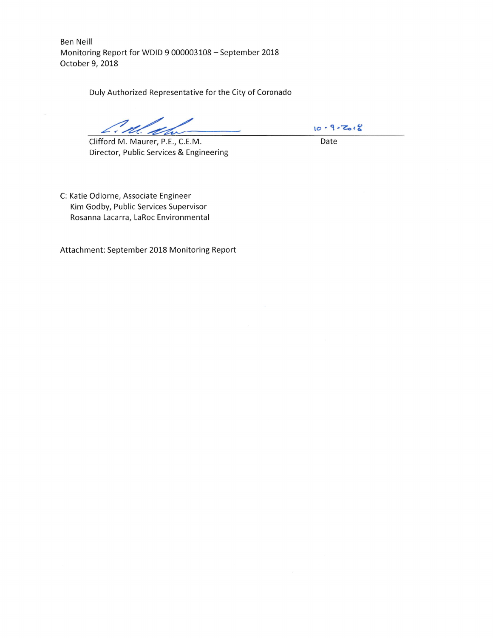Ben Neill Monitoring Report for WDID 9 000003108 - September 2018 October 9, 2018

Duly Authorized Representative for the City of Coronado

Clifford M. Maurer, P.E, C.E.M. Director, Public Services & Engineering

 $10 - 9 - 7018$ 

Date

C: Katie Odiorne, Associate Engineer Kim Godby, Public Services Supervisor Rosanna Lacarra, LaRoc Environmental

Attachment: September 2018 Monitoring Report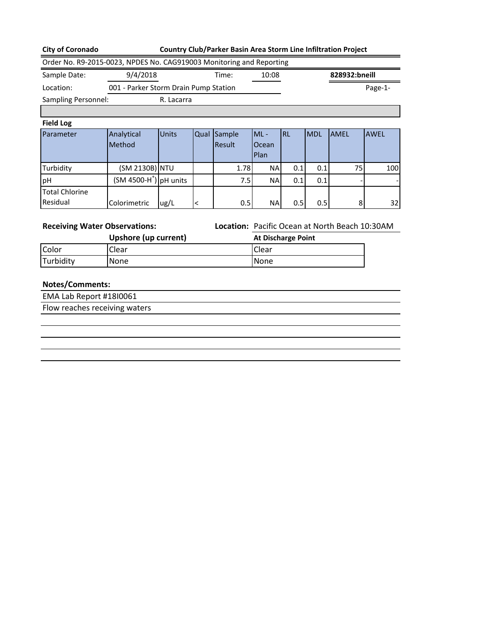|  |  | <b>City of Coronado</b> |
|--|--|-------------------------|
|--|--|-------------------------|

## **Country Club/Parker Basin Area Storm Line Infiltration Project**

| Order No. R9-2015-0023, NPDES No. CAG919003 Monitoring and Reporting |                                       |              |             |                                                |                           |           |            |               |             |
|----------------------------------------------------------------------|---------------------------------------|--------------|-------------|------------------------------------------------|---------------------------|-----------|------------|---------------|-------------|
| Sample Date:                                                         | 9/4/2018                              |              |             | Time:                                          | 10:08                     |           |            | 828932:bneill |             |
| Location:                                                            | 001 - Parker Storm Drain Pump Station |              |             |                                                |                           |           |            |               | Page-1-     |
| Sampling Personnel:                                                  |                                       | R. Lacarra   |             |                                                |                           |           |            |               |             |
|                                                                      |                                       |              |             |                                                |                           |           |            |               |             |
| <b>Field Log</b>                                                     |                                       |              |             |                                                |                           |           |            |               |             |
| Parameter                                                            | Analytical                            | <b>Units</b> | <b>Qual</b> | Sample                                         | $ML -$                    | <b>RL</b> | <b>MDL</b> | <b>AMEL</b>   | <b>AWEL</b> |
|                                                                      | Method                                |              |             | Result                                         | Ocean                     |           |            |               |             |
|                                                                      |                                       |              |             |                                                | Plan                      |           |            |               |             |
| Turbidity                                                            | (SM 2130B) NTU                        |              |             | 1.78                                           | <b>NA</b>                 | 0.1       | 0.1        | 75            | 100         |
| pН                                                                   | $(SM 4500-H+)$ pH units               |              |             | 7.5                                            | NA.                       | 0.1       | 0.1        |               |             |
| <b>Total Chlorine</b>                                                |                                       |              |             |                                                |                           |           |            |               |             |
| Residual                                                             | Colorimetric                          | ug/L         | <           | 0.5                                            | <b>NA</b>                 | 0.5       | 0.5        | 8             | 32          |
|                                                                      |                                       |              |             |                                                |                           |           |            |               |             |
| <b>Receiving Water Observations:</b>                                 |                                       |              |             | Location: Pacific Ocean at North Beach 10:30AM |                           |           |            |               |             |
|                                                                      | Upshore (up current)                  |              |             |                                                | <b>At Discharge Point</b> |           |            |               |             |
| Color                                                                | Clear                                 |              |             |                                                | Clear                     |           |            |               |             |
| Turbidity                                                            | None                                  |              |             |                                                | <b>None</b>               |           |            |               |             |
|                                                                      |                                       |              |             |                                                |                           |           |            |               |             |

# **Notes/Comments:**

EMA Lab Report #18I0061 Flow reaches receiving waters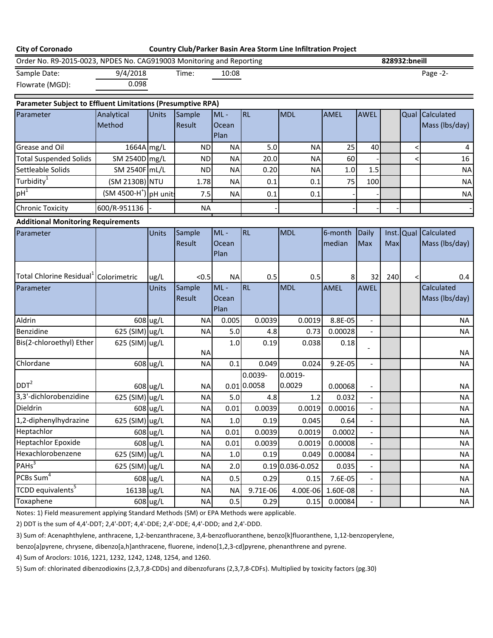| <b>City of Coronado</b>                                                                    |                                    |          |                  |                         |                        | Country Club/Parker Basin Area Storm Line Infiltration Project |                   |                          |     |               |                              |
|--------------------------------------------------------------------------------------------|------------------------------------|----------|------------------|-------------------------|------------------------|----------------------------------------------------------------|-------------------|--------------------------|-----|---------------|------------------------------|
| Order No. R9-2015-0023, NPDES No. CAG919003 Monitoring and Reporting                       |                                    |          |                  |                         |                        |                                                                |                   |                          |     | 828932:bneill |                              |
| Sample Date:                                                                               | 9/4/2018                           |          | Time:            | 10:08                   |                        |                                                                |                   |                          |     |               | Page -2-                     |
| Flowrate (MGD):                                                                            | 0.098                              |          |                  |                         |                        |                                                                |                   |                          |     |               |                              |
| Parameter Subject to Effluent Limitations (Presumptive RPA)                                |                                    |          |                  |                         |                        |                                                                |                   |                          |     |               |                              |
| Parameter                                                                                  | Analytical                         | Units    | Sample           | $ML -$                  | <b>RL</b>              | <b>MDL</b>                                                     | <b>AMEL</b>       | <b>AWEL</b>              |     |               | Qual Calculated              |
|                                                                                            | Method                             |          | Result           | Ocean<br>Plan           |                        |                                                                |                   |                          |     |               | Mass (lbs/day)               |
| Grease and Oil                                                                             | 1664A mg/L                         |          | <b>ND</b>        | <b>NA</b>               | 5.0                    | <b>NA</b>                                                      | 25                | 40                       |     |               | 4                            |
| <b>Total Suspended Solids</b>                                                              | SM 2540D mg/L                      |          | <b>ND</b>        | <b>NA</b>               | 20.0                   | <b>NA</b>                                                      | 60                |                          |     |               | 16                           |
| Settleable Solids                                                                          | SM 2540F mL/L                      |          | <b>ND</b>        | <b>NA</b>               | 0.20                   | <b>NA</b>                                                      | 1.0               | 1.5                      |     |               | <b>NA</b>                    |
| Turbidity <sup>1</sup>                                                                     | (SM 2130B) NTU                     |          | 1.78             | <b>NA</b>               | 0.1                    | 0.1                                                            | 75                | 100                      |     |               | <b>NA</b>                    |
| $pH^1$                                                                                     | (SM 4500-H <sup>+</sup> ) pH unit: |          | 7.5              | <b>NA</b>               | 0.1                    | 0.1                                                            |                   |                          |     |               | <b>NA</b>                    |
| <b>Chronic Toxicity</b>                                                                    | 600/R-951136                       |          | <b>NA</b>        |                         |                        |                                                                |                   |                          |     |               |                              |
| <b>Additional Monitoring Requirements</b>                                                  |                                    |          |                  |                         |                        |                                                                |                   |                          |     |               |                              |
| Parameter                                                                                  |                                    | Units    | Sample<br>Result | $ML -$<br>Ocean<br>Plan | <b>RL</b>              | MDL                                                            | 6-month<br>median | Daily<br><b>Max</b>      | Max | Inst. Qual    | Calculated<br>Mass (lbs/day) |
| Total Chlorine Residual <sup>1</sup> Colorimetric                                          |                                    | ug/L     | < 0.5            | <b>NA</b>               | 0.5                    | 0.5                                                            | 8                 | 32                       | 240 | $\lt$         | 0.4                          |
| Parameter                                                                                  |                                    | Units    | Sample<br>Result | $ML -$<br>Ocean<br>Plan | <b>RL</b>              | <b>MDL</b>                                                     | <b>AMEL</b>       | AWEL                     |     |               | Calculated<br>Mass (lbs/day) |
| Aldrin                                                                                     |                                    | 608 ug/L | <b>NA</b>        | 0.005                   | 0.0039                 | 0.0019                                                         | 8.8E-05           | $\blacksquare$           |     |               | <b>NA</b>                    |
| Benzidine                                                                                  | 625 (SIM) ug/L                     |          | <b>NA</b>        | 5.0                     | 4.8                    | 0.73                                                           | 0.00028           |                          |     |               | <b>NA</b>                    |
| Bis(2-chloroethyl) Ether                                                                   | 625 (SIM) ug/L                     |          | <b>NA</b>        | 1.0                     | 0.19                   | 0.038                                                          | 0.18              |                          |     |               | <b>NA</b>                    |
| Chlordane                                                                                  |                                    | 608 ug/L | <b>NA</b>        | 0.1                     | 0.049                  | 0.024                                                          | $9.2E - 05$       | $\overline{\phantom{a}}$ |     |               | <b>NA</b>                    |
| DDT <sup>2</sup>                                                                           |                                    | 608 ug/L | <b>NA</b>        |                         | 0.0039-<br>0.01 0.0058 | 0.0019-<br>0.0029                                              | 0.00068           |                          |     |               | <b>NA</b>                    |
| 3,3'-dichlorobenzidine                                                                     | 625 (SIM) ug/L                     |          | <b>NA</b>        | 5.0                     | 4.8                    | 1.2                                                            | 0.032             |                          |     |               | <b>NA</b>                    |
| Dieldrin                                                                                   |                                    | 608 ug/L | <b>NA</b>        | 0.01                    | 0.0039                 | 0.0019                                                         | 0.00016           | $\overline{\phantom{a}}$ |     |               | NA                           |
| 1,2-diphenylhydrazine                                                                      | 625 (SIM) ug/L                     |          | <b>NA</b>        | 1.0                     | 0.19                   | 0.045                                                          | 0.64              |                          |     |               | <b>NA</b>                    |
| Heptachlor                                                                                 |                                    | 608 ug/L | <b>NA</b>        | 0.01                    | 0.0039                 | 0.0019                                                         | 0.0002            |                          |     |               | <b>NA</b>                    |
| <b>Heptachlor Epoxide</b>                                                                  |                                    | 608 ug/L | <b>NA</b>        | 0.01                    | 0.0039                 | 0.0019                                                         | 0.00008           | $\overline{\phantom{a}}$ |     |               | <b>NA</b>                    |
| Hexachlorobenzene                                                                          | 625 (SIM) ug/L                     |          | <b>NA</b>        | 1.0                     | 0.19                   | 0.049                                                          | 0.00084           | $\overline{\phantom{a}}$ |     |               | <b>NA</b>                    |
| PAHs <sup>3</sup>                                                                          | 625 (SIM) ug/L                     |          | <b>NA</b>        | 2.0                     |                        | $0.19$ 0.036-0.052                                             | 0.035             | $\overline{\phantom{a}}$ |     |               | <b>NA</b>                    |
| PCBs Sum $\frac{1}{4}$                                                                     |                                    | 608 ug/L | <b>NA</b>        | 0.5                     | 0.29                   | 0.15                                                           | 7.6E-05           | $\overline{\phantom{a}}$ |     |               | NA                           |
| TCDD equivalents <sup>5</sup>                                                              | 1613B ug/L                         |          | <b>NA</b>        | <b>NA</b>               | 9.71E-06               | 4.00E-06                                                       | 1.60E-08          | $\overline{\phantom{a}}$ |     |               | NA                           |
| Toxaphene                                                                                  |                                    | 608 ug/L | <b>NA</b>        | 0.5                     | 0.29                   | 0.15                                                           | 0.00084           | $\overline{\phantom{a}}$ |     |               | <b>NA</b>                    |
| Notes: 1) Field measurement applying Standard Methods (SM) or EPA Methods were applicable. |                                    |          |                  |                         |                        |                                                                |                   |                          |     |               |                              |

2) DDT is the sum of 4,4'-DDT; 2,4'-DDT; 4,4'-DDE; 2,4'-DDE; 4,4'-DDD; and 2,4'-DDD.

3) Sum of: Acenaphthylene, anthracene, 1,2-benzanthracene, 3,4-benzofluoranthene, benzo[k]fluoranthene, 1,12-benzoperylene,

benzo[a]pyrene, chrysene, dibenzo[a,h]anthracene, fluorene, indeno[1,2,3-cd]pyrene, phenanthrene and pyrene.

4) Sum of Aroclors: 1016, 1221, 1232, 1242, 1248, 1254, and 1260.

5) Sum of: chlorinated dibenzodioxins (2,3,7,8-CDDs) and dibenzofurans (2,3,7,8-CDFs). Multiplied by toxicity factors (pg.30)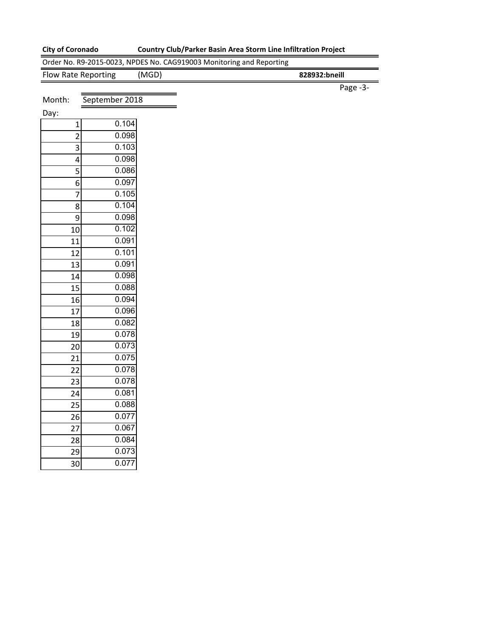0.077

# **City of Coronado Country Club/Parker Basin Area Storm Line Infiltration Project**

|                         |                | Order No. R9-2015-0023, NPDES No. CAG919003 Monitoring and Reporting |               |  |
|-------------------------|----------------|----------------------------------------------------------------------|---------------|--|
| Flow Rate Reporting     |                | (MGD)                                                                | 828932:bneill |  |
|                         |                |                                                                      | Page -3-      |  |
| Month:                  | September 2018 |                                                                      |               |  |
| Day:                    |                |                                                                      |               |  |
| $\mathbf 1$             | 0.104          |                                                                      |               |  |
| $\overline{c}$          | 0.098          |                                                                      |               |  |
| 3                       | 0.103          |                                                                      |               |  |
| $\overline{\mathbf{4}}$ | 0.098          |                                                                      |               |  |
| $\overline{\mathbf{5}}$ | 0.086          |                                                                      |               |  |
| 6                       | 0.097          |                                                                      |               |  |
| $\overline{7}$          | 0.105          |                                                                      |               |  |
| 8                       | 0.104          |                                                                      |               |  |
| 9                       | 0.098          |                                                                      |               |  |
| 10                      | 0.102          |                                                                      |               |  |
| 11                      | 0.091          |                                                                      |               |  |
| 12                      | 0.101          |                                                                      |               |  |
| 13                      | 0.091          |                                                                      |               |  |
| 14                      | 0.098          |                                                                      |               |  |
| 15                      | 0.088          |                                                                      |               |  |
| 16                      | 0.094          |                                                                      |               |  |
| 17                      | 0.096          |                                                                      |               |  |
| 18                      | 0.082          |                                                                      |               |  |
| 19                      | 0.078          |                                                                      |               |  |
| 20                      | 0.073          |                                                                      |               |  |
| 21                      | 0.075          |                                                                      |               |  |
| 22                      | 0.078          |                                                                      |               |  |
| 23                      | 0.078          |                                                                      |               |  |
| 24                      | 0.081          |                                                                      |               |  |
| 25                      | 0.088          |                                                                      |               |  |
| 26                      | 0.077          |                                                                      |               |  |
| 27                      | 0.067          |                                                                      |               |  |
| 28                      | 0.084          |                                                                      |               |  |
| 29                      | 0.073          |                                                                      |               |  |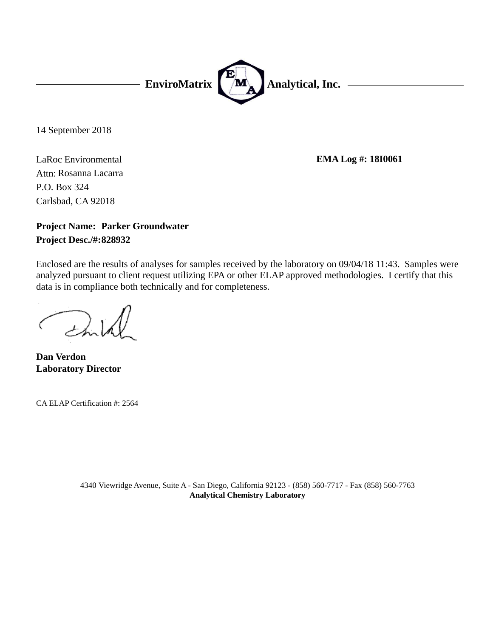

14 September 2018

LaRoc Environmental Carlsbad, CA 92018 P.O. Box 324 Attn: Rosanna Lacarra

**EMA Log #: 18I0061**

# **Project Name: Parker Groundwater Project Desc./#:828932**

Enclosed are the results of analyses for samples received by the laboratory on 09/04/18 11:43. Samples were analyzed pursuant to client request utilizing EPA or other ELAP approved methodologies. I certify that this data is in compliance both technically and for completeness.

**Laboratory Director Dan Verdon**

CA ELAP Certification #: 2564

4340 Viewridge Avenue, Suite A - San Diego, California 92123 - (858) 560-7717 - Fax (858) 560-7763 **Analytical Chemistry Laboratory**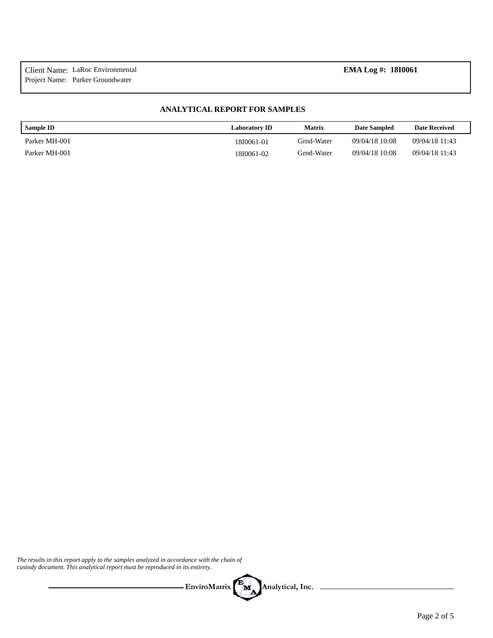### **ANALYTICAL REPORT FOR SAMPLES**

| <b>Sample ID</b> | <b>Laboratory ID</b> | Matrix     | Date Sampled   | <b>Date Received</b> |
|------------------|----------------------|------------|----------------|----------------------|
| Parker MH-001    | 18I0061-01           | Grnd-Water | 09/04/18 10:08 | 09/04/18 11:43       |
| Parker MH-001    | 18I0061-02           | Grnd-Water | 09/04/18 10:08 | 09/04/18 11:43       |

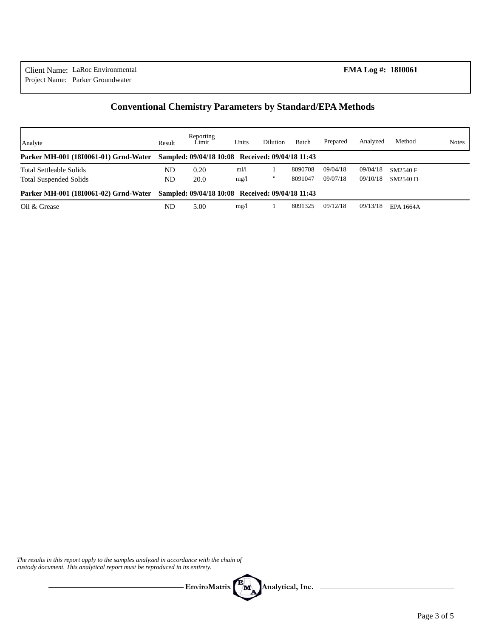# **Conventional Chemistry Parameters by Standard/EPA Methods**

| Analyte                                                         | Result   | Reporting<br>Limit                               | Units        | Dilution | Batch              | Prepared             | Analyzed             | Method                             | <b>Notes</b> |
|-----------------------------------------------------------------|----------|--------------------------------------------------|--------------|----------|--------------------|----------------------|----------------------|------------------------------------|--------------|
| Parker MH-001 (1810061-01) Grnd-Water                           |          | Sampled: 09/04/18 10:08 Received: 09/04/18 11:43 |              |          |                    |                      |                      |                                    |              |
| <b>Total Settleable Solids</b><br><b>Total Suspended Solids</b> | ND<br>ND | 0.20<br>20.0                                     | ml/1<br>mg/1 |          | 8090708<br>8091047 | 09/04/18<br>09/07/18 | 09/04/18<br>09/10/18 | <b>SM2540 F</b><br><b>SM2540 D</b> |              |
| Parker MH-001 (1810061-02) Grnd-Water                           |          | Sampled: 09/04/18 10:08 Received: 09/04/18 11:43 |              |          |                    |                      |                      |                                    |              |
| Oil & Grease                                                    | ND       | 5.00                                             | mg/l         |          | 8091325            | 09/12/18             | 09/13/18             | EPA 1664A                          |              |

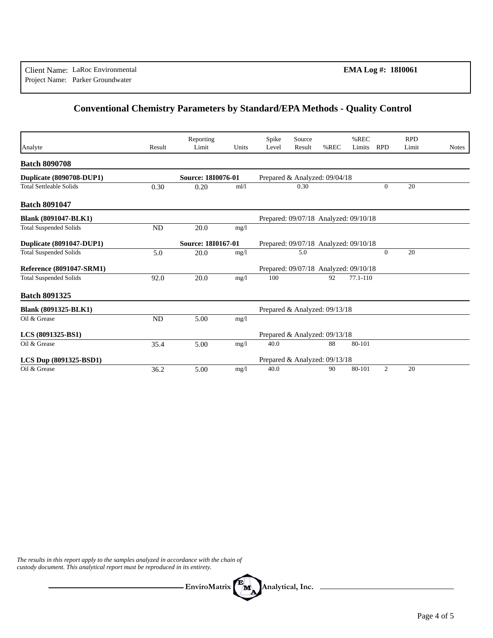# **Conventional Chemistry Parameters by Standard/EPA Methods - Quality Control**

|                                |           | Reporting          |       | Spike | Source                                |         | $%$ REC      |                | <b>RPD</b> |              |
|--------------------------------|-----------|--------------------|-------|-------|---------------------------------------|---------|--------------|----------------|------------|--------------|
| Analyte                        | Result    | Limit              | Units | Level | Result                                | $%$ REC | Limits       | <b>RPD</b>     | Limit      | <b>Notes</b> |
| <b>Batch 8090708</b>           |           |                    |       |       |                                       |         |              |                |            |              |
| Duplicate (8090708-DUP1)       |           | Source: 1810076-01 |       |       | Prepared & Analyzed: 09/04/18         |         |              |                |            |              |
| <b>Total Settleable Solids</b> | 0.30      | 0.20               | m1/1  |       | 0.30                                  |         |              | $\Omega$       | 20         |              |
| <b>Batch 8091047</b>           |           |                    |       |       |                                       |         |              |                |            |              |
| <b>Blank (8091047-BLK1)</b>    |           |                    |       |       | Prepared: 09/07/18 Analyzed: 09/10/18 |         |              |                |            |              |
| <b>Total Suspended Solids</b>  | <b>ND</b> | 20.0               | mg/l  |       |                                       |         |              |                |            |              |
| Duplicate (8091047-DUP1)       |           | Source: 18I0167-01 |       |       | Prepared: 09/07/18 Analyzed: 09/10/18 |         |              |                |            |              |
| <b>Total Suspended Solids</b>  | 5.0       | 20.0               | mg/1  |       | 5.0                                   |         |              | $\overline{0}$ | 20         |              |
| Reference (8091047-SRM1)       |           |                    |       |       | Prepared: 09/07/18 Analyzed: 09/10/18 |         |              |                |            |              |
| <b>Total Suspended Solids</b>  | 92.0      | 20.0               | mg/1  | 100   |                                       | 92      | $77.1 - 110$ |                |            |              |
| <b>Batch 8091325</b>           |           |                    |       |       |                                       |         |              |                |            |              |
| Blank (8091325-BLK1)           |           |                    |       |       | Prepared & Analyzed: 09/13/18         |         |              |                |            |              |
| Oil & Grease                   | <b>ND</b> | 5.00               | mg/1  |       |                                       |         |              |                |            |              |
| LCS (8091325-BS1)              |           |                    |       |       | Prepared & Analyzed: 09/13/18         |         |              |                |            |              |
| Oil & Grease                   | 35.4      | 5.00               | mg/1  | 40.0  |                                       | 88      | 80-101       |                |            |              |
| LCS Dup (8091325-BSD1)         |           |                    |       |       | Prepared & Analyzed: 09/13/18         |         |              |                |            |              |
| Oil & Grease                   | 36.2      | 5.00               | mg/1  | 40.0  |                                       | 90      | 80-101       | $\overline{2}$ | 20         |              |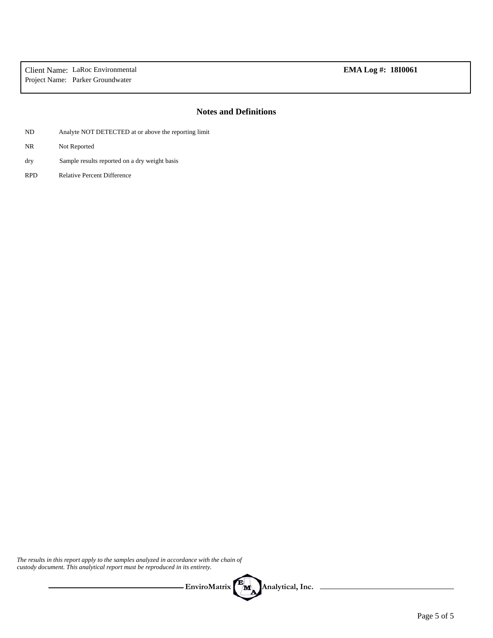## **Notes and Definitions**

- ND Analyte NOT DETECTED at or above the reporting limit
- NR Not Reported
- Sample results reported on a dry weight basis dry
- RPD Relative Percent Difference